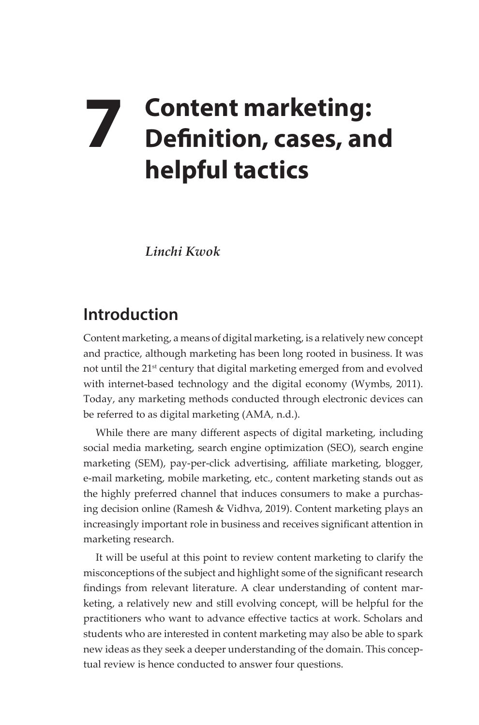# **7 Content marketing: Definition, cases, and helpful tactics**

*Linchi Kwok* 

## **Introduction**

Content marketing, a means of digital marketing, is a relatively new concept and practice, although marketing has been long rooted in business. It was not until the 21<sup>st</sup> century that digital marketing emerged from and evolved with internet-based technology and the digital economy (Wymbs, 2011). Today, any marketing methods conducted through electronic devices can be referred to as digital marketing (AMA*,* n.d.).

While there are many different aspects of digital marketing, including social media marketing, search engine optimization (SEO), search engine marketing (SEM), pay-per-click advertising, affiliate marketing, blogger, e-mail marketing, mobile marketing, etc., content marketing stands out as the highly preferred channel that induces consumers to make a purchasing decision online (Ramesh & Vidhva, 2019). Content marketing plays an increasingly important role in business and receives significant attention in marketing research.

It will be useful at this point to review content marketing to clarify the misconceptions of the subject and highlight some of the significant research findings from relevant literature. A clear understanding of content marketing, a relatively new and still evolving concept, will be helpful for the practitioners who want to advance effective tactics at work. Scholars and students who are interested in content marketing may also be able to spark new ideas as they seek a deeper understanding of the domain. This conceptual review is hence conducted to answer four questions.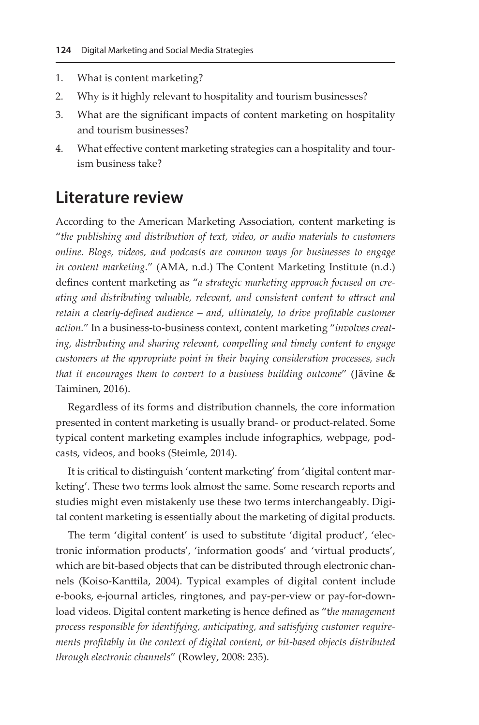- 1. What is content marketing?
- 2. Why is it highly relevant to hospitality and tourism businesses?
- 3. What are the significant impacts of content marketing on hospitality and tourism businesses?
- 4. What effective content marketing strategies can a hospitality and tourism business take?

## **Literature review**

According to the American Marketing Association, content marketing is "*the publishing and distribution of text, video, or audio materials to customers online. Blogs, videos, and podcasts are common ways for businesses to engage in content marketing*." (AMA, n.d.) The Content Marketing Institute (n.d.) defines content marketing as "*a strategic marketing approach focused on creating and distributing valuable, relevant, and consistent content to attract and retain a clearly-defined audience – and, ultimately, to drive profitable customer action.*" In a business-to-business context, content marketing "*involves creating, distributing and sharing relevant, compelling and timely content to engage customers at the appropriate point in their buying consideration processes, such that it encourages them to convert to a business building outcome*" (Jävine & Taiminen, 2016).

Regardless of its forms and distribution channels, the core information presented in content marketing is usually brand- or product-related. Some typical content marketing examples include infographics, webpage, podcasts, videos, and books (Steimle, 2014).

It is critical to distinguish 'content marketing' from 'digital content marketing'. These two terms look almost the same. Some research reports and studies might even mistakenly use these two terms interchangeably. Digital content marketing is essentially about the marketing of digital products.

The term 'digital content' is used to substitute 'digital product', 'electronic information products', 'information goods' and 'virtual products', which are bit-based objects that can be distributed through electronic channels (Koiso-Kanttila, 2004). Typical examples of digital content include e-books, e-journal articles, ringtones, and pay-per-view or pay-for-download videos. Digital content marketing is hence defined as "t*he management process responsible for identifying, anticipating, and satisfying customer requirements profitably in the context of digital content, or bit-based objects distributed through electronic channels*" (Rowley, 2008: 235).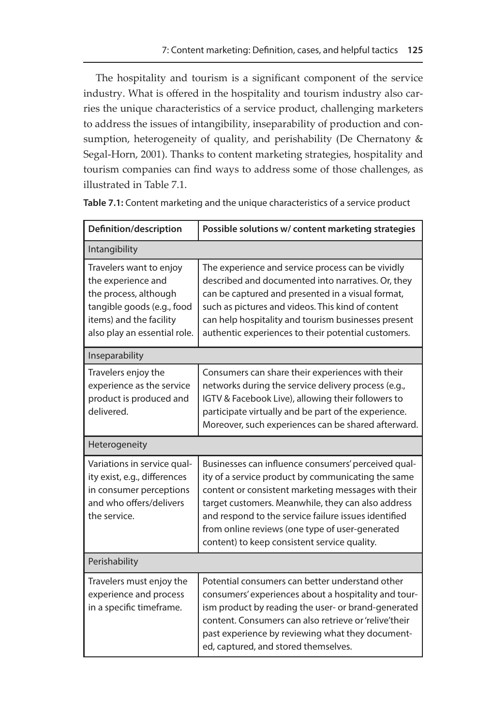The hospitality and tourism is a significant component of the service industry. What is offered in the hospitality and tourism industry also carries the unique characteristics of a service product, challenging marketers to address the issues of intangibility, inseparability of production and consumption, heterogeneity of quality, and perishability (De Chernatony  $&$ Segal-Horn, 2001). Thanks to content marketing strategies, hospitality and tourism companies can find ways to address some of those challenges, as illustrated in Table 7.1.

| Definition/description                                                                                                                                          | Possible solutions w/ content marketing strategies                                                                                                                                                                                                                                                                                                                                |
|-----------------------------------------------------------------------------------------------------------------------------------------------------------------|-----------------------------------------------------------------------------------------------------------------------------------------------------------------------------------------------------------------------------------------------------------------------------------------------------------------------------------------------------------------------------------|
| Intangibility                                                                                                                                                   |                                                                                                                                                                                                                                                                                                                                                                                   |
| Travelers want to enjoy<br>the experience and<br>the process, although<br>tangible goods (e.g., food<br>items) and the facility<br>also play an essential role. | The experience and service process can be vividly<br>described and documented into narratives. Or, they<br>can be captured and presented in a visual format,<br>such as pictures and videos. This kind of content<br>can help hospitality and tourism businesses present<br>authentic experiences to their potential customers.                                                   |
| Inseparability                                                                                                                                                  |                                                                                                                                                                                                                                                                                                                                                                                   |
| Travelers enjoy the<br>experience as the service<br>product is produced and<br>delivered.                                                                       | Consumers can share their experiences with their<br>networks during the service delivery process (e.g.,<br>IGTV & Facebook Live), allowing their followers to<br>participate virtually and be part of the experience.<br>Moreover, such experiences can be shared afterward.                                                                                                      |
| Heterogeneity                                                                                                                                                   |                                                                                                                                                                                                                                                                                                                                                                                   |
| Variations in service qual-<br>ity exist, e.g., differences<br>in consumer perceptions<br>and who offers/delivers<br>the service.                               | Businesses can influence consumers' perceived qual-<br>ity of a service product by communicating the same<br>content or consistent marketing messages with their<br>target customers. Meanwhile, they can also address<br>and respond to the service failure issues identified<br>from online reviews (one type of user-generated<br>content) to keep consistent service quality. |
| Perishability                                                                                                                                                   |                                                                                                                                                                                                                                                                                                                                                                                   |
| Travelers must enjoy the<br>experience and process<br>in a specific timeframe.                                                                                  | Potential consumers can better understand other<br>consumers' experiences about a hospitality and tour-<br>ism product by reading the user- or brand-generated<br>content. Consumers can also retrieve or 'relive'their<br>past experience by reviewing what they document-<br>ed, captured, and stored themselves.                                                               |

**Table 7.1:** Content marketing and the unique characteristics of a service product